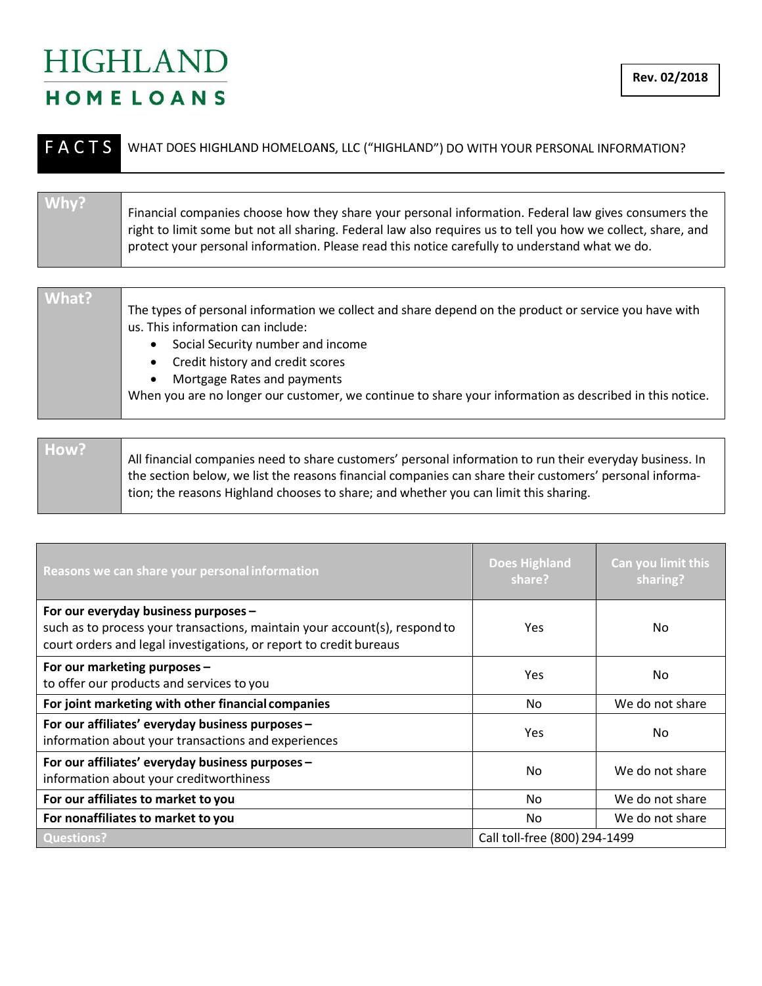## **HIGHLAND** HOMELOANS

| <b>FACTS</b> | WHAT DOES HIGHLAND HOMELOANS, LLC ("HIGHLAND") DO WITH YOUR PERSONAL INFORMATION?                                                                                                                                                |
|--------------|----------------------------------------------------------------------------------------------------------------------------------------------------------------------------------------------------------------------------------|
| Why?         | Financial companies choose how they share your personal information. Federal law gives consumers the                                                                                                                             |
|              | right to limit some but not all sharing. Federal law also requires us to tell you how we collect, share, and<br>protect your personal information. Please read this notice carefully to understand what we do.                   |
|              |                                                                                                                                                                                                                                  |
| What?        | The types of personal information we collect and share depend on the product or service you have with<br>us. This information can include:<br>Social Security number and income<br>$\bullet$<br>Credit history and credit scores |

• Mortgage Rates and payments

When you are no longer our customer, we continue to share your information as described in this notice.

| How? |                                                                                                                                                                                                                                                                                                             |
|------|-------------------------------------------------------------------------------------------------------------------------------------------------------------------------------------------------------------------------------------------------------------------------------------------------------------|
|      | All financial companies need to share customers' personal information to run their everyday business. In<br>the section below, we list the reasons financial companies can share their customers' personal informa-<br>tion; the reasons Highland chooses to share; and whether you can limit this sharing. |
|      |                                                                                                                                                                                                                                                                                                             |

| Reasons we can share your personal information                                                                                                                                           | <b>Does Highland</b><br>share? | Can you limit this<br>sharing? |
|------------------------------------------------------------------------------------------------------------------------------------------------------------------------------------------|--------------------------------|--------------------------------|
| For our everyday business purposes -<br>such as to process your transactions, maintain your account(s), respond to<br>court orders and legal investigations, or report to credit bureaus | Yes                            | No.                            |
| For our marketing purposes -<br>to offer our products and services to you                                                                                                                | Yes                            | No.                            |
| For joint marketing with other financial companies                                                                                                                                       | No.                            | We do not share                |
| For our affiliates' everyday business purposes -<br>information about your transactions and experiences                                                                                  | Yes                            | No.                            |
| For our affiliates' everyday business purposes -<br>information about your creditworthiness                                                                                              | N <sub>0</sub>                 | We do not share                |
| For our affiliates to market to you                                                                                                                                                      | No.                            | We do not share                |
| For nonaffiliates to market to you                                                                                                                                                       | N <sub>o</sub>                 | We do not share                |
| <b>Questions?</b>                                                                                                                                                                        | Call toll-free (800) 294-1499  |                                |